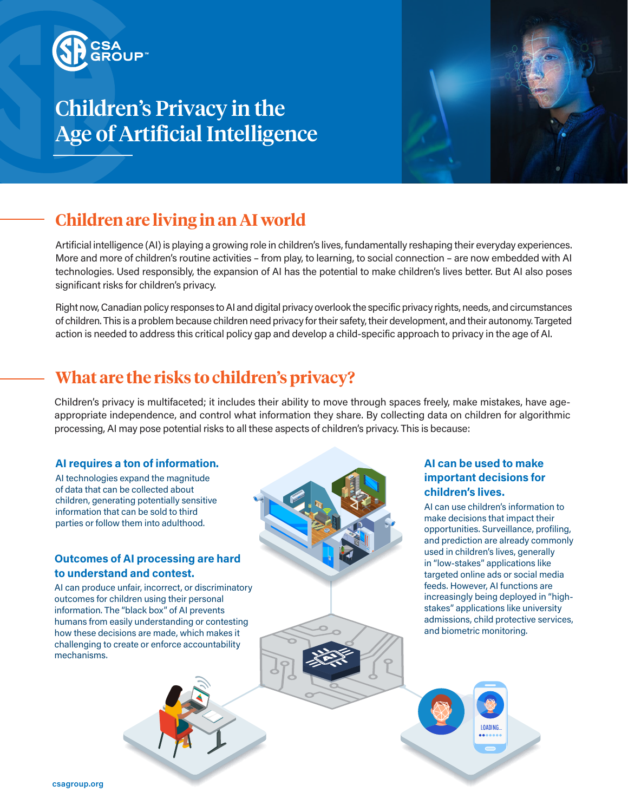

# Children's Privacy in the Age of Artificial Intelligence



## **Children are living in an AI world**

Artificial intelligence (AI) is playing a growing role in children's lives, fundamentally reshaping their everyday experiences. More and more of children's routine activities – from play, to learning, to social connection – are now embedded with AI technologies. Used responsibly, the expansion of AI has the potential to make children's lives better. But AI also poses significant risks for children's privacy.

Right now, Canadian policy responses to AI and digital privacy overlook the specific privacy rights, needs, and circumstances of children. This is a problem because children need privacy for their safety, their development, and their autonomy. Targeted action is needed to address this critical policy gap and develop a child-specific approach to privacy in the age of AI.

### **What are the risks to children's privacy?**

Children's privacy is multifaceted; it includes their ability to move through spaces freely, make mistakes, have ageappropriate independence, and control what information they share. By collecting data on children for algorithmic processing, AI may pose potential risks to all these aspects of children's privacy. This is because:

### **AI requires a ton of information.**

AI technologies expand the magnitude of data that can be collected about children, generating potentially sensitive information that can be sold to third parties or follow them into adulthood.

### **Outcomes of AI processing are hard to understand and contest.**

AI can produce unfair, incorrect, or discriminatory outcomes for children using their personal information. The "black box" of AI prevents humans from easily understanding or contesting how these decisions are made, which makes it challenging to create or enforce accountability mechanisms.



### **AI can be used to make important decisions for children's lives.**

AI can use children's information to make decisions that impact their opportunities. Surveillance, profiling, and prediction are already commonly used in children's lives, generally in "low-stakes" applications like targeted online ads or social media feeds. However, AI functions are increasingly being deployed in "highstakes" applications like university admissions, child protective services, and biometric monitoring.